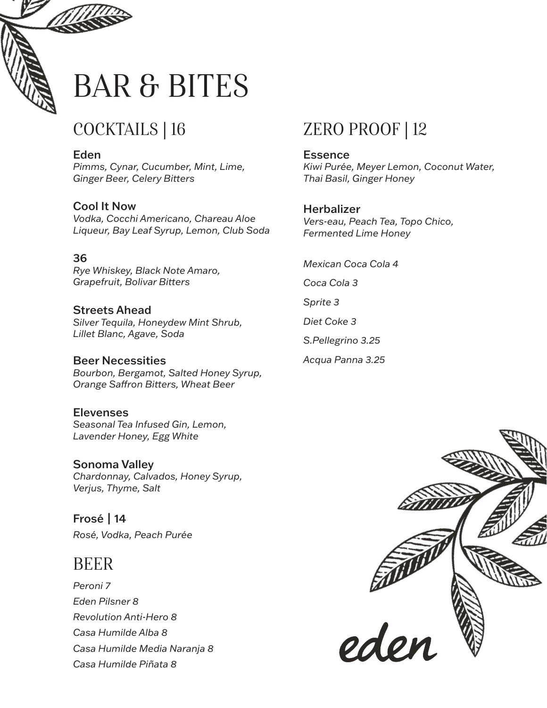

# BAR & BITES

# COCKTAILS | 16

Eden *Pimms, Cynar, Cucumber, Mint, Lime, Ginger Beer, Celery Bitters* 

Cool It Now *Vodka, Cocchi Americano, Chareau Aloe Liqueur, Bay Leaf Syrup, Lemon, Club Soda*

#### 36

*Rye Whiskey, Black Note Amaro,*  **Grapefruit, Bolivar Bitters** 

Streets Ahead *Silver Tequila, Honeydew Mint Shrub, Lillet Blanc, Agave, Soda*

Beer Necessities *Bourbon, Bergamot, Salted Honey Syrup,* **Orange Saffron Bitters, Wheat Beer** 

### **Elevenses**

*Seasonal Tea Infused Gin, Lemon, Lavender Honey, Egg White*

Sonoma Valley *Chardonnay, Calvados, Honey Syrup, Verjus, Thyme, Salt*

Frosé | 14 *Rosé, Vodka, Peach Purée*

### BEER

*Peroni 7 Eden Pilsner 8 Revolution Anti-Hero 8 Casa Humilde Alba 8 Casa Humilde Media Naranja 8 Casa Humilde Piñata 8*

## ZERO PROOF | 12

**Essence** *Kiwi Purée, Meyer Lemon, Coconut Water, Thai Basil, Ginger Honey*

#### **Herbalizer**

*Vers-eau, Peach Tea, Topo Chico, Fermented Lime Honey*

*Mexican Coca Cola 4*

*Coca Cola 3*

*Sprite 3*

*Diet Coke 3*

*S.Pellegrino 3.25*

*Acqua Panna 3.25*